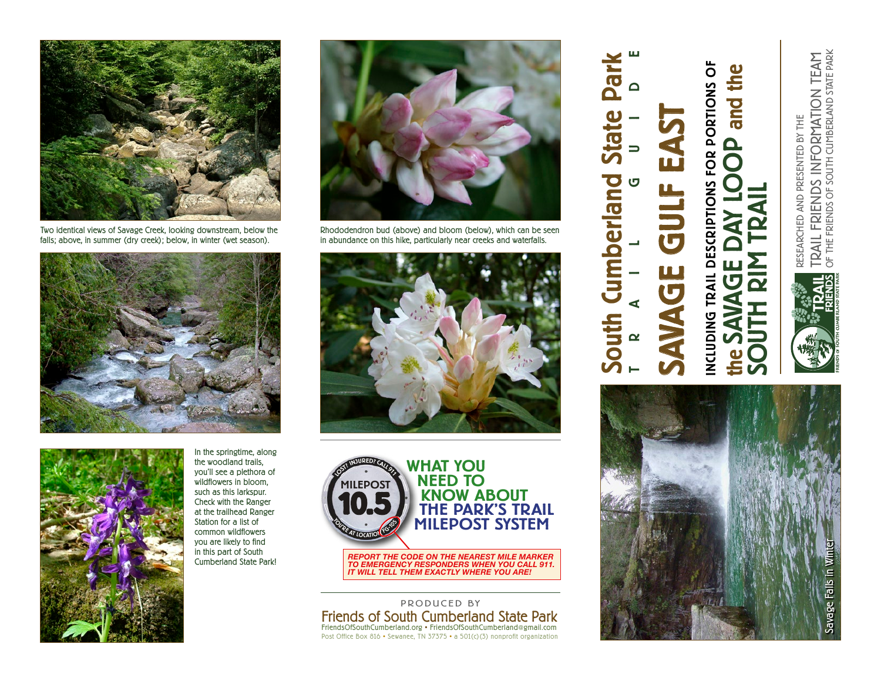

Two identical views of Savage Creek, looking downstream, below the falls; above, in summer (dry creek); below, in winter (wet season).





In the springtime, along the woodland trails, you'll see a plethora of wildflowers in bloom, such as this larkspur. Check with the Ranger at the trailhead Ranger Station for a list of common wildflowers you are likely to find in this part of South Cumberland State Park!



Rhododendron bud (above) and bloom (below), which can be seen in abundance on this hike, particularly near creeks and waterfalls.





actual size: 4.5"diameter *REPORT THE CODE ON THE NEAREST MILE MARKER TO EMERGENCY RESPONDERS WHEN YOU CALL 911. IT WILL TELL THEM EXACTLY WHERE YOU ARE!*

Friends of South Cumberland State Park FriendsOfSouthCumberland.org • FriendsOfSouthCumberland@gmail.com Post Office Box 816 • Sewanee, TN 37375 • a 501(c)(3) nonprofit organization PRODUCED BY

## TRAIL GUIDE South Cumberland State Park hec SAVAGE GULF EAST State EX umberland **UULF** UJC outh

NCLUDING TRAIL DESCRIPTIONS FOR PORTIONS OF INCLUDING TRAIL DESCRIPTIONS FOR PORTIONS OF p and the the SAVAGE DAY LOOP and the  $\epsilon$ 

SOUTH RIM TRAIL



TRAIL FRIENDS INFORMATION TEAM<br>of the friends of south cumberland state park OF THE FRIENDS OF SOUTH CUMBERLAND STATE PARK TRAIL FRIENDS INFORMATION TEAM RESEARCHED AND PRESENTED BY THE RESEARCHED AND PRESENTED BY THE